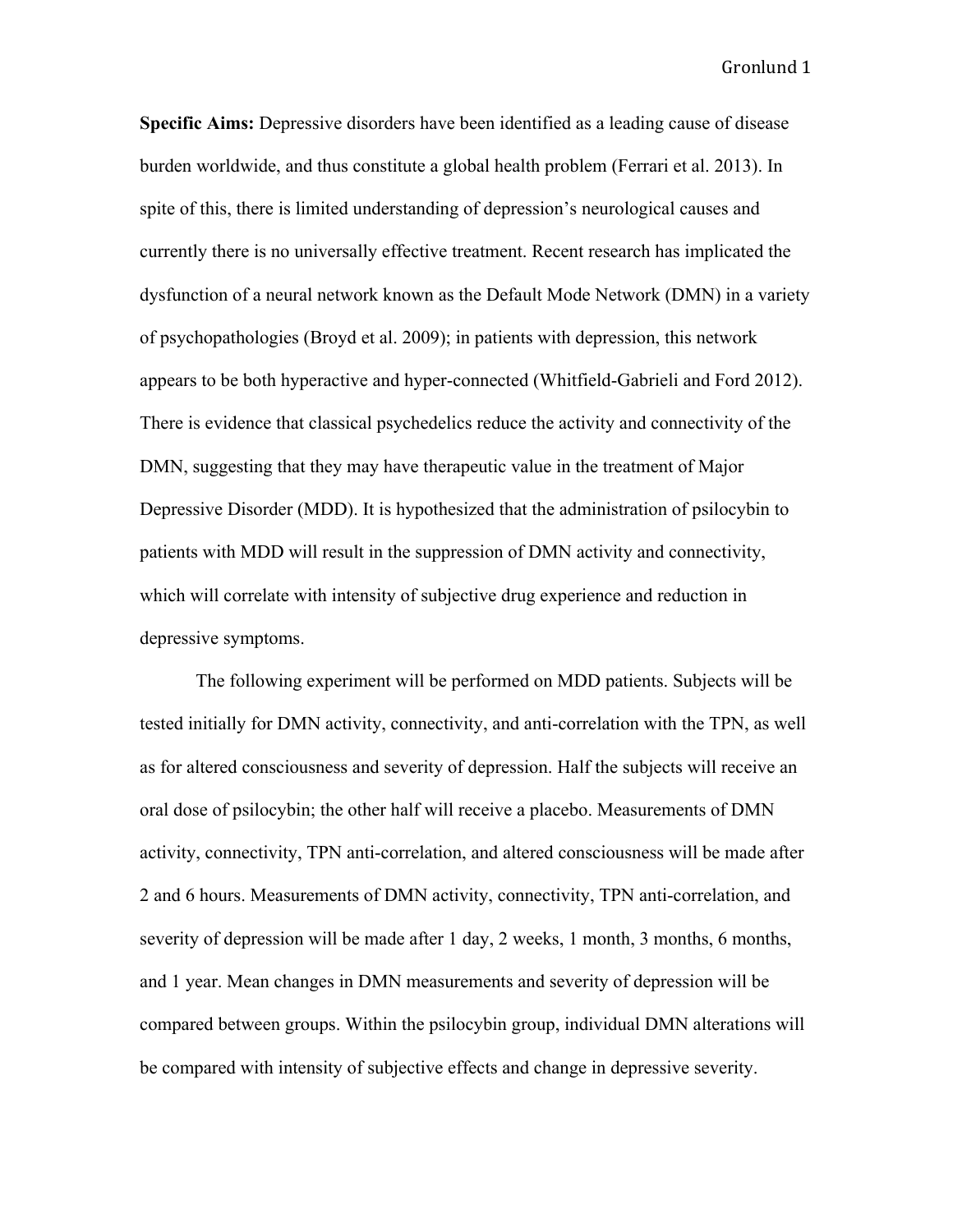**Specific Aims:** Depressive disorders have been identified as a leading cause of disease burden worldwide, and thus constitute a global health problem (Ferrari et al. 2013). In spite of this, there is limited understanding of depression's neurological causes and currently there is no universally effective treatment. Recent research has implicated the dysfunction of a neural network known as the Default Mode Network (DMN) in a variety of psychopathologies (Broyd et al. 2009); in patients with depression, this network appears to be both hyperactive and hyper-connected (Whitfield-Gabrieli and Ford 2012). There is evidence that classical psychedelics reduce the activity and connectivity of the DMN, suggesting that they may have therapeutic value in the treatment of Major Depressive Disorder (MDD). It is hypothesized that the administration of psilocybin to patients with MDD will result in the suppression of DMN activity and connectivity, which will correlate with intensity of subjective drug experience and reduction in depressive symptoms.

The following experiment will be performed on MDD patients. Subjects will be tested initially for DMN activity, connectivity, and anti-correlation with the TPN, as well as for altered consciousness and severity of depression. Half the subjects will receive an oral dose of psilocybin; the other half will receive a placebo. Measurements of DMN activity, connectivity, TPN anti-correlation, and altered consciousness will be made after 2 and 6 hours. Measurements of DMN activity, connectivity, TPN anti-correlation, and severity of depression will be made after 1 day, 2 weeks, 1 month, 3 months, 6 months, and 1 year. Mean changes in DMN measurements and severity of depression will be compared between groups. Within the psilocybin group, individual DMN alterations will be compared with intensity of subjective effects and change in depressive severity.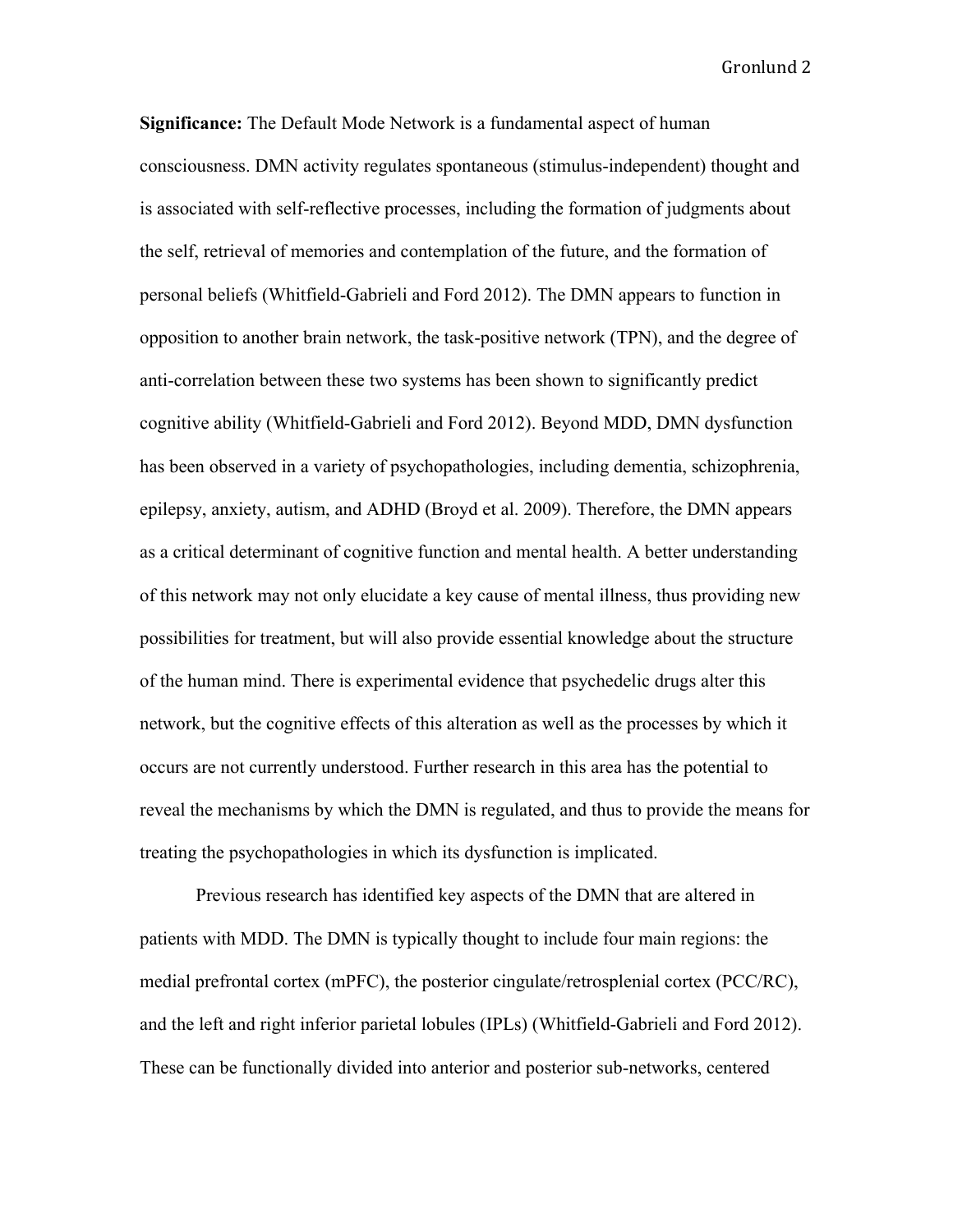**Significance:** The Default Mode Network is a fundamental aspect of human consciousness. DMN activity regulates spontaneous (stimulus-independent) thought and is associated with self-reflective processes, including the formation of judgments about the self, retrieval of memories and contemplation of the future, and the formation of personal beliefs (Whitfield-Gabrieli and Ford 2012). The DMN appears to function in opposition to another brain network, the task-positive network (TPN), and the degree of anti-correlation between these two systems has been shown to significantly predict cognitive ability (Whitfield-Gabrieli and Ford 2012). Beyond MDD, DMN dysfunction has been observed in a variety of psychopathologies, including dementia, schizophrenia, epilepsy, anxiety, autism, and ADHD (Broyd et al. 2009). Therefore, the DMN appears as a critical determinant of cognitive function and mental health. A better understanding of this network may not only elucidate a key cause of mental illness, thus providing new possibilities for treatment, but will also provide essential knowledge about the structure of the human mind. There is experimental evidence that psychedelic drugs alter this network, but the cognitive effects of this alteration as well as the processes by which it occurs are not currently understood. Further research in this area has the potential to reveal the mechanisms by which the DMN is regulated, and thus to provide the means for treating the psychopathologies in which its dysfunction is implicated.

Previous research has identified key aspects of the DMN that are altered in patients with MDD. The DMN is typically thought to include four main regions: the medial prefrontal cortex (mPFC), the posterior cingulate/retrosplenial cortex (PCC/RC), and the left and right inferior parietal lobules (IPLs) (Whitfield-Gabrieli and Ford 2012). These can be functionally divided into anterior and posterior sub-networks, centered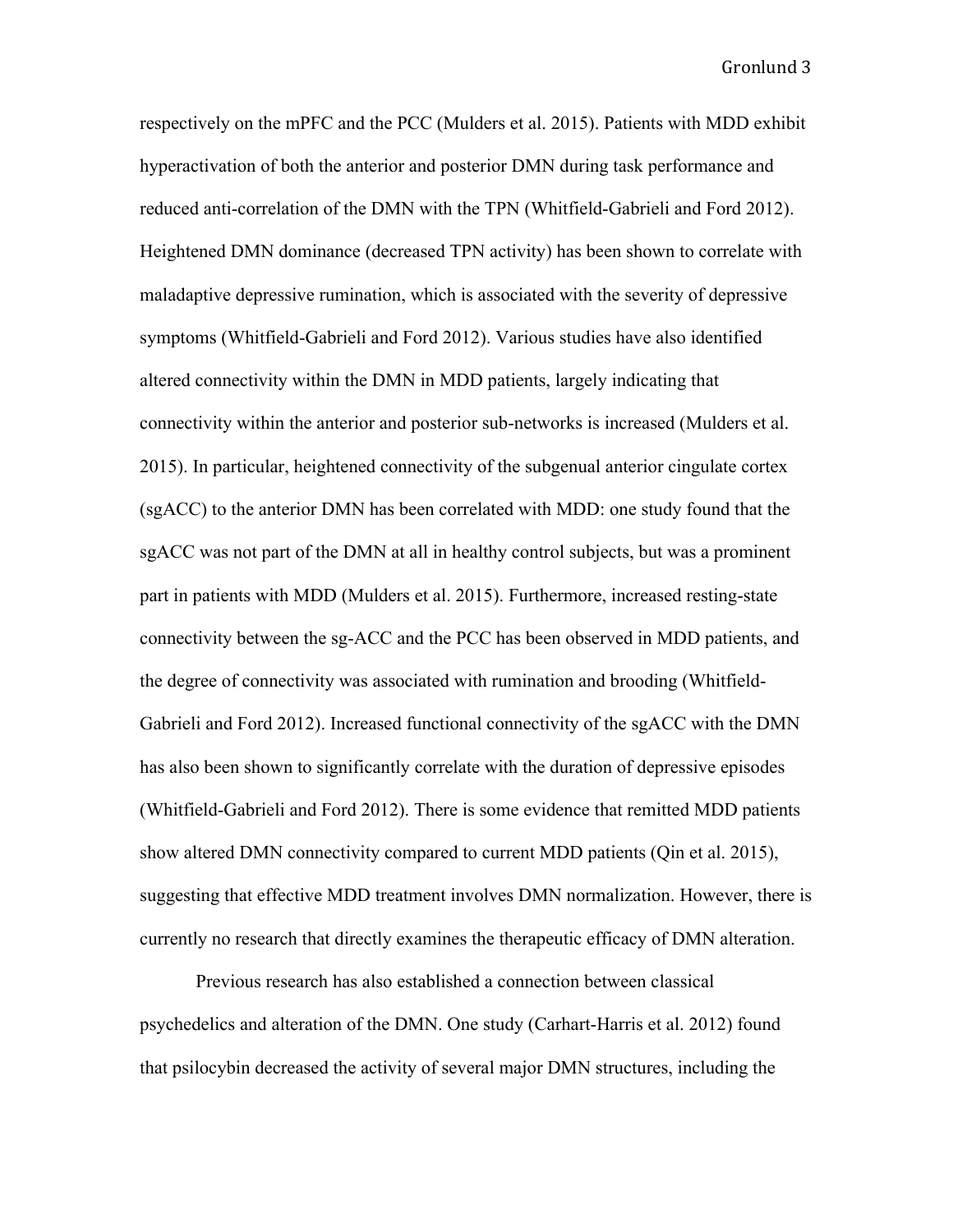respectively on the mPFC and the PCC (Mulders et al. 2015). Patients with MDD exhibit hyperactivation of both the anterior and posterior DMN during task performance and reduced anti-correlation of the DMN with the TPN (Whitfield-Gabrieli and Ford 2012). Heightened DMN dominance (decreased TPN activity) has been shown to correlate with maladaptive depressive rumination, which is associated with the severity of depressive symptoms (Whitfield-Gabrieli and Ford 2012). Various studies have also identified altered connectivity within the DMN in MDD patients, largely indicating that connectivity within the anterior and posterior sub-networks is increased (Mulders et al. 2015). In particular, heightened connectivity of the subgenual anterior cingulate cortex (sgACC) to the anterior DMN has been correlated with MDD: one study found that the sgACC was not part of the DMN at all in healthy control subjects, but was a prominent part in patients with MDD (Mulders et al. 2015). Furthermore, increased resting-state connectivity between the sg-ACC and the PCC has been observed in MDD patients, and the degree of connectivity was associated with rumination and brooding (Whitfield-Gabrieli and Ford 2012). Increased functional connectivity of the sgACC with the DMN has also been shown to significantly correlate with the duration of depressive episodes (Whitfield-Gabrieli and Ford 2012). There is some evidence that remitted MDD patients show altered DMN connectivity compared to current MDD patients (Qin et al. 2015), suggesting that effective MDD treatment involves DMN normalization. However, there is currently no research that directly examines the therapeutic efficacy of DMN alteration.

Previous research has also established a connection between classical psychedelics and alteration of the DMN. One study (Carhart-Harris et al. 2012) found that psilocybin decreased the activity of several major DMN structures, including the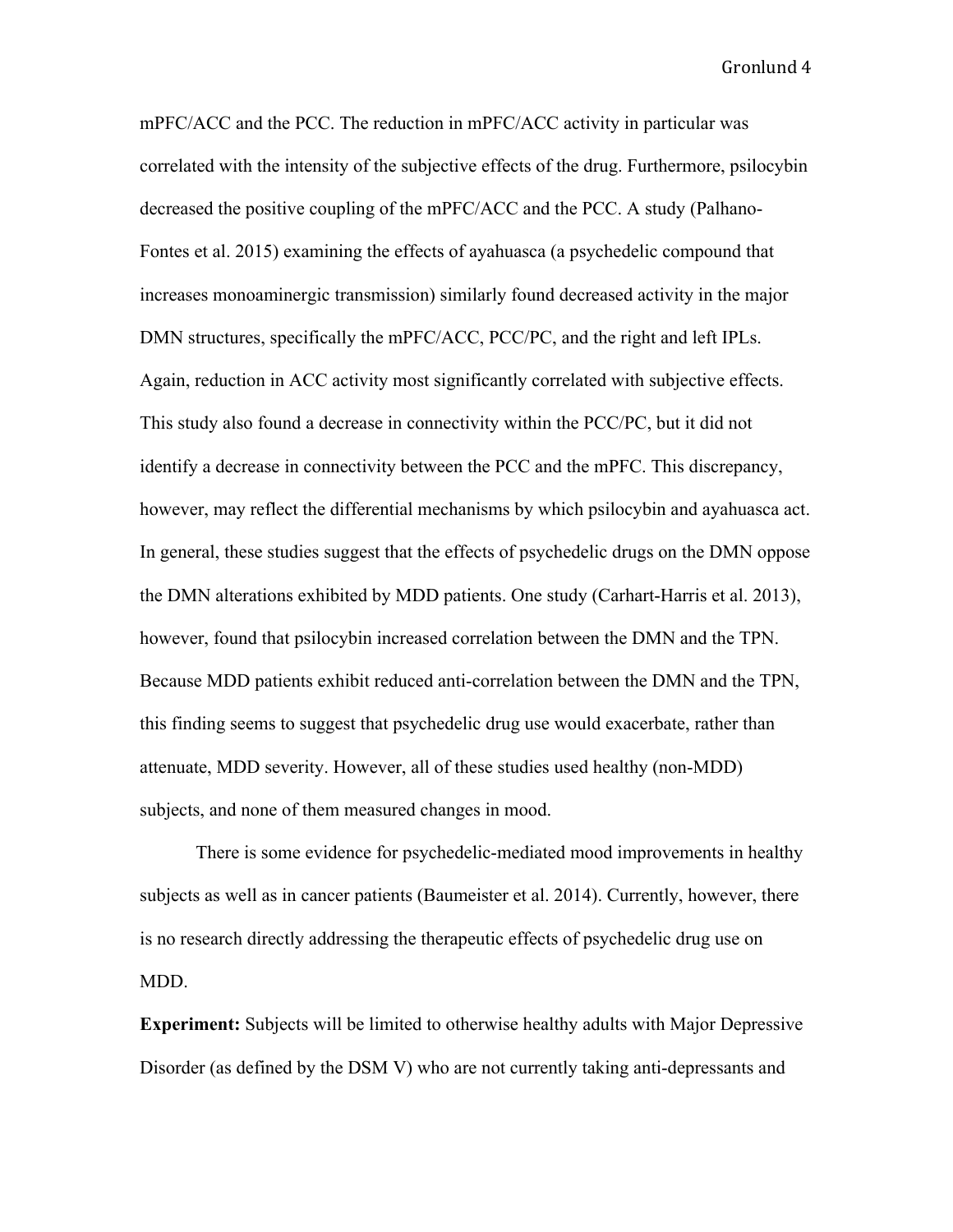mPFC/ACC and the PCC. The reduction in mPFC/ACC activity in particular was correlated with the intensity of the subjective effects of the drug. Furthermore, psilocybin decreased the positive coupling of the mPFC/ACC and the PCC. A study (Palhano-Fontes et al. 2015) examining the effects of ayahuasca (a psychedelic compound that increases monoaminergic transmission) similarly found decreased activity in the major DMN structures, specifically the mPFC/ACC, PCC/PC, and the right and left IPLs. Again, reduction in ACC activity most significantly correlated with subjective effects. This study also found a decrease in connectivity within the PCC/PC, but it did not identify a decrease in connectivity between the PCC and the mPFC. This discrepancy, however, may reflect the differential mechanisms by which psilocybin and ayahuasca act. In general, these studies suggest that the effects of psychedelic drugs on the DMN oppose the DMN alterations exhibited by MDD patients. One study (Carhart-Harris et al. 2013), however, found that psilocybin increased correlation between the DMN and the TPN. Because MDD patients exhibit reduced anti-correlation between the DMN and the TPN, this finding seems to suggest that psychedelic drug use would exacerbate, rather than attenuate, MDD severity. However, all of these studies used healthy (non-MDD) subjects, and none of them measured changes in mood.

There is some evidence for psychedelic-mediated mood improvements in healthy subjects as well as in cancer patients (Baumeister et al. 2014). Currently, however, there is no research directly addressing the therapeutic effects of psychedelic drug use on MDD.

**Experiment:** Subjects will be limited to otherwise healthy adults with Major Depressive Disorder (as defined by the DSM V) who are not currently taking anti-depressants and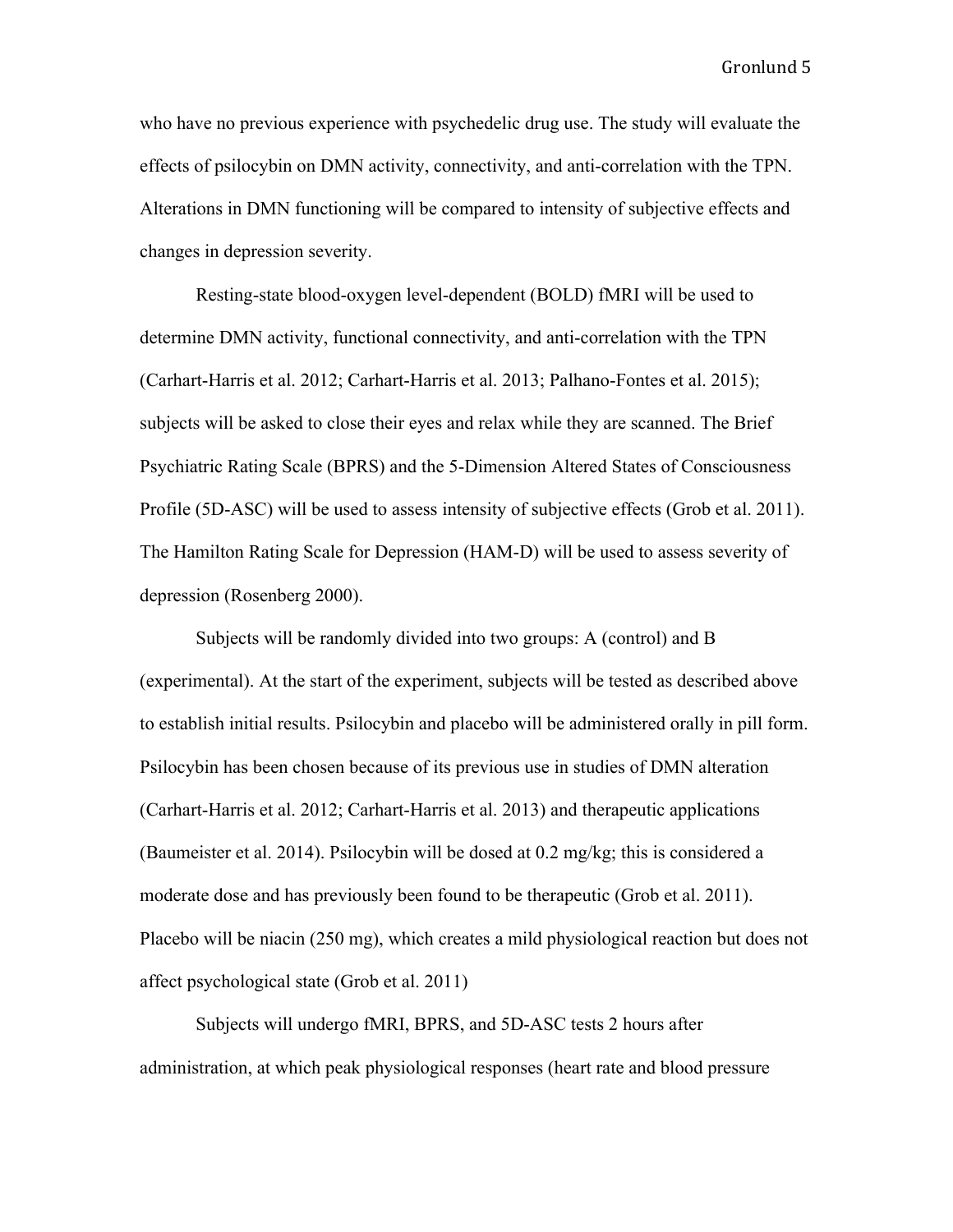who have no previous experience with psychedelic drug use. The study will evaluate the effects of psilocybin on DMN activity, connectivity, and anti-correlation with the TPN. Alterations in DMN functioning will be compared to intensity of subjective effects and changes in depression severity.

Resting-state blood-oxygen level-dependent (BOLD) fMRI will be used to determine DMN activity, functional connectivity, and anti-correlation with the TPN (Carhart-Harris et al. 2012; Carhart-Harris et al. 2013; Palhano-Fontes et al. 2015); subjects will be asked to close their eyes and relax while they are scanned. The Brief Psychiatric Rating Scale (BPRS) and the 5-Dimension Altered States of Consciousness Profile (5D-ASC) will be used to assess intensity of subjective effects (Grob et al. 2011). The Hamilton Rating Scale for Depression (HAM-D) will be used to assess severity of depression (Rosenberg 2000).

Subjects will be randomly divided into two groups: A (control) and B (experimental). At the start of the experiment, subjects will be tested as described above to establish initial results. Psilocybin and placebo will be administered orally in pill form. Psilocybin has been chosen because of its previous use in studies of DMN alteration (Carhart-Harris et al. 2012; Carhart-Harris et al. 2013) and therapeutic applications (Baumeister et al. 2014). Psilocybin will be dosed at 0.2 mg/kg; this is considered a moderate dose and has previously been found to be therapeutic (Grob et al. 2011). Placebo will be niacin (250 mg), which creates a mild physiological reaction but does not affect psychological state (Grob et al. 2011)

Subjects will undergo fMRI, BPRS, and 5D-ASC tests 2 hours after administration, at which peak physiological responses (heart rate and blood pressure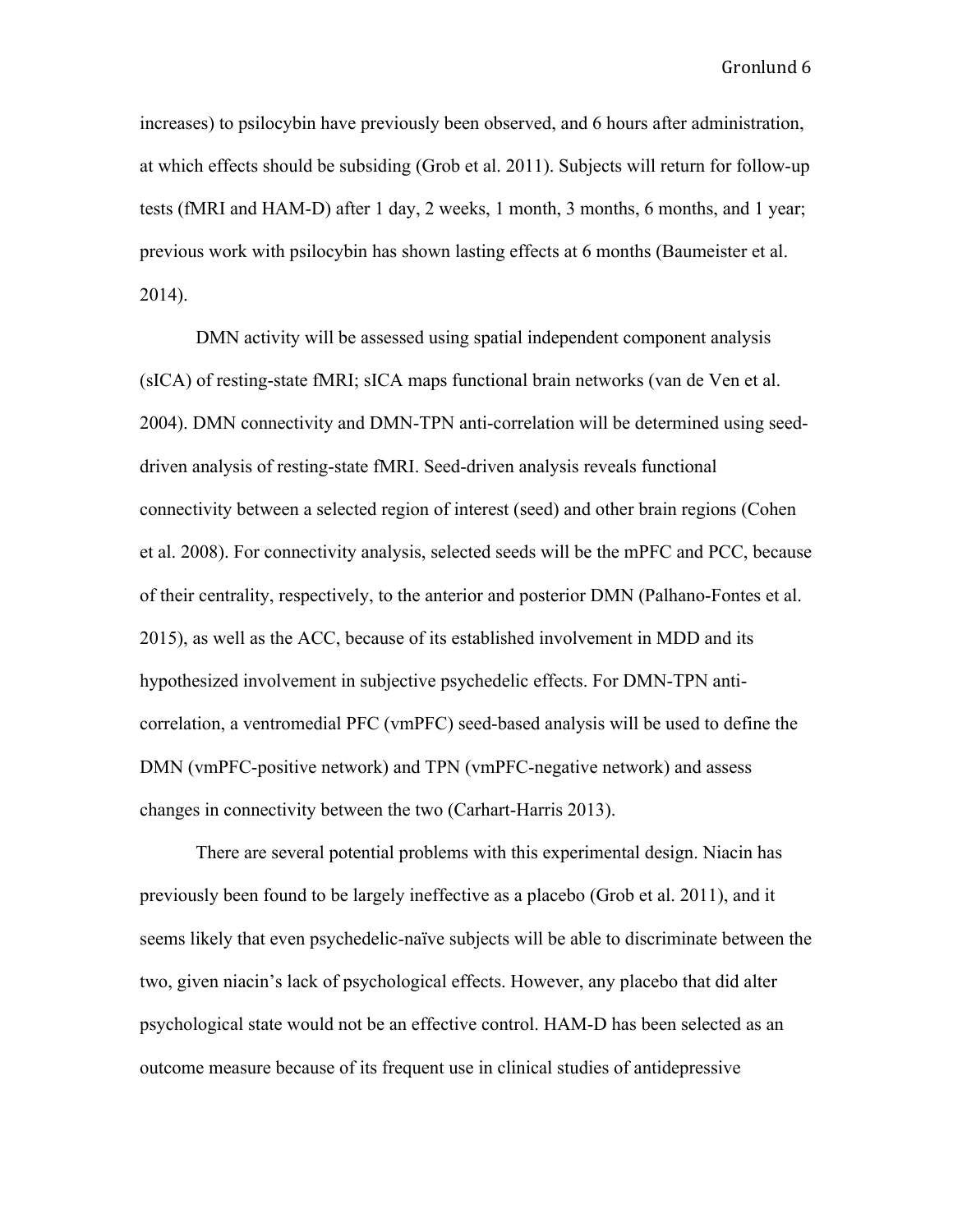increases) to psilocybin have previously been observed, and 6 hours after administration, at which effects should be subsiding (Grob et al. 2011). Subjects will return for follow-up tests (fMRI and HAM-D) after 1 day, 2 weeks, 1 month, 3 months, 6 months, and 1 year; previous work with psilocybin has shown lasting effects at 6 months (Baumeister et al. 2014).

DMN activity will be assessed using spatial independent component analysis (sICA) of resting-state fMRI; sICA maps functional brain networks (van de Ven et al. 2004). DMN connectivity and DMN-TPN anti-correlation will be determined using seeddriven analysis of resting-state fMRI. Seed-driven analysis reveals functional connectivity between a selected region of interest (seed) and other brain regions (Cohen et al. 2008). For connectivity analysis, selected seeds will be the mPFC and PCC, because of their centrality, respectively, to the anterior and posterior DMN (Palhano-Fontes et al. 2015), as well as the ACC, because of its established involvement in MDD and its hypothesized involvement in subjective psychedelic effects. For DMN-TPN anticorrelation, a ventromedial PFC (vmPFC) seed-based analysis will be used to define the DMN (vmPFC-positive network) and TPN (vmPFC-negative network) and assess changes in connectivity between the two (Carhart-Harris 2013).

There are several potential problems with this experimental design. Niacin has previously been found to be largely ineffective as a placebo (Grob et al. 2011), and it seems likely that even psychedelic-naïve subjects will be able to discriminate between the two, given niacin's lack of psychological effects. However, any placebo that did alter psychological state would not be an effective control. HAM-D has been selected as an outcome measure because of its frequent use in clinical studies of antidepressive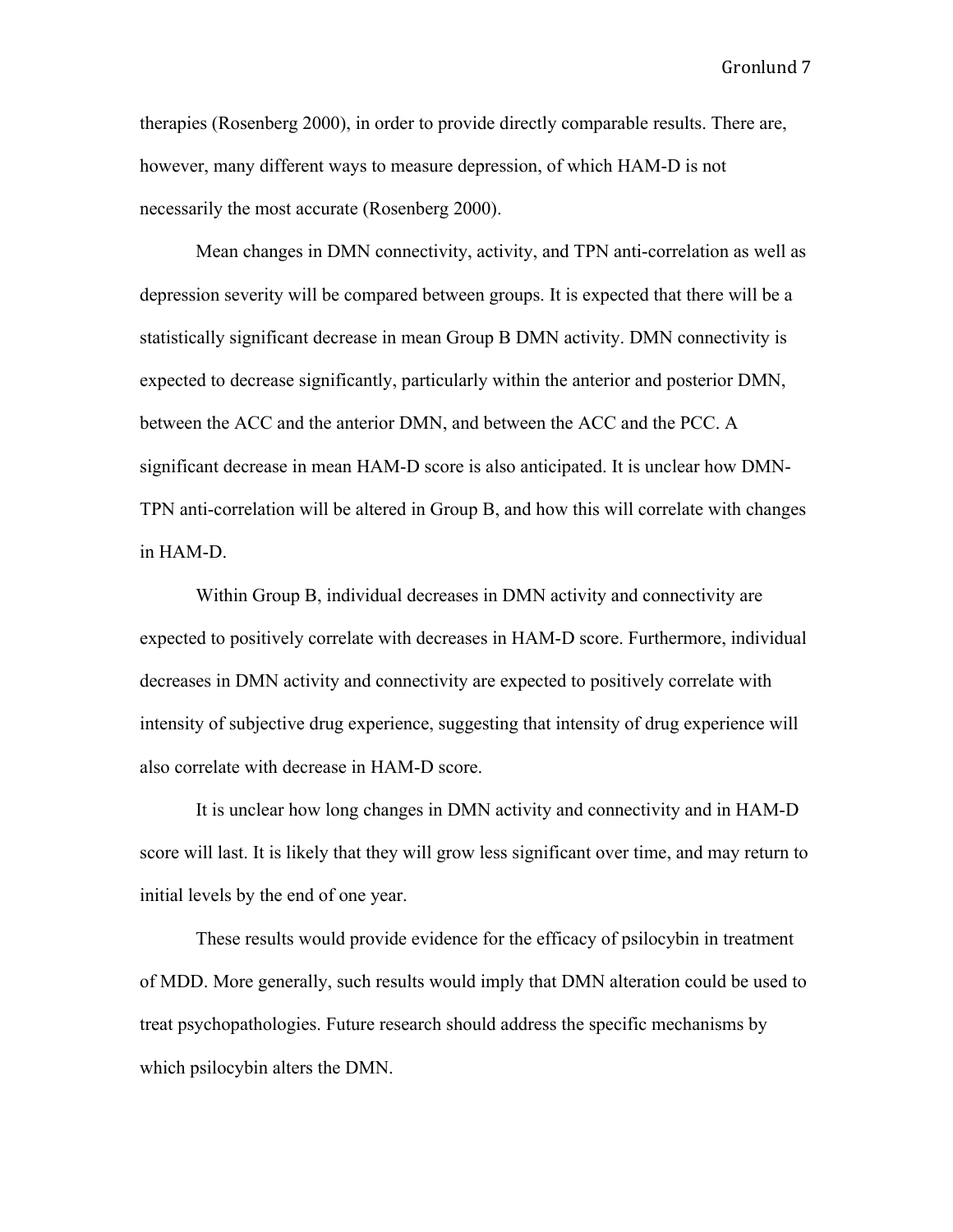therapies (Rosenberg 2000), in order to provide directly comparable results. There are, however, many different ways to measure depression, of which HAM-D is not necessarily the most accurate (Rosenberg 2000).

Mean changes in DMN connectivity, activity, and TPN anti-correlation as well as depression severity will be compared between groups. It is expected that there will be a statistically significant decrease in mean Group B DMN activity. DMN connectivity is expected to decrease significantly, particularly within the anterior and posterior DMN, between the ACC and the anterior DMN, and between the ACC and the PCC. A significant decrease in mean HAM-D score is also anticipated. It is unclear how DMN-TPN anti-correlation will be altered in Group B, and how this will correlate with changes in HAM-D.

Within Group B, individual decreases in DMN activity and connectivity are expected to positively correlate with decreases in HAM-D score. Furthermore, individual decreases in DMN activity and connectivity are expected to positively correlate with intensity of subjective drug experience, suggesting that intensity of drug experience will also correlate with decrease in HAM-D score.

It is unclear how long changes in DMN activity and connectivity and in HAM-D score will last. It is likely that they will grow less significant over time, and may return to initial levels by the end of one year.

These results would provide evidence for the efficacy of psilocybin in treatment of MDD. More generally, such results would imply that DMN alteration could be used to treat psychopathologies. Future research should address the specific mechanisms by which psilocybin alters the DMN.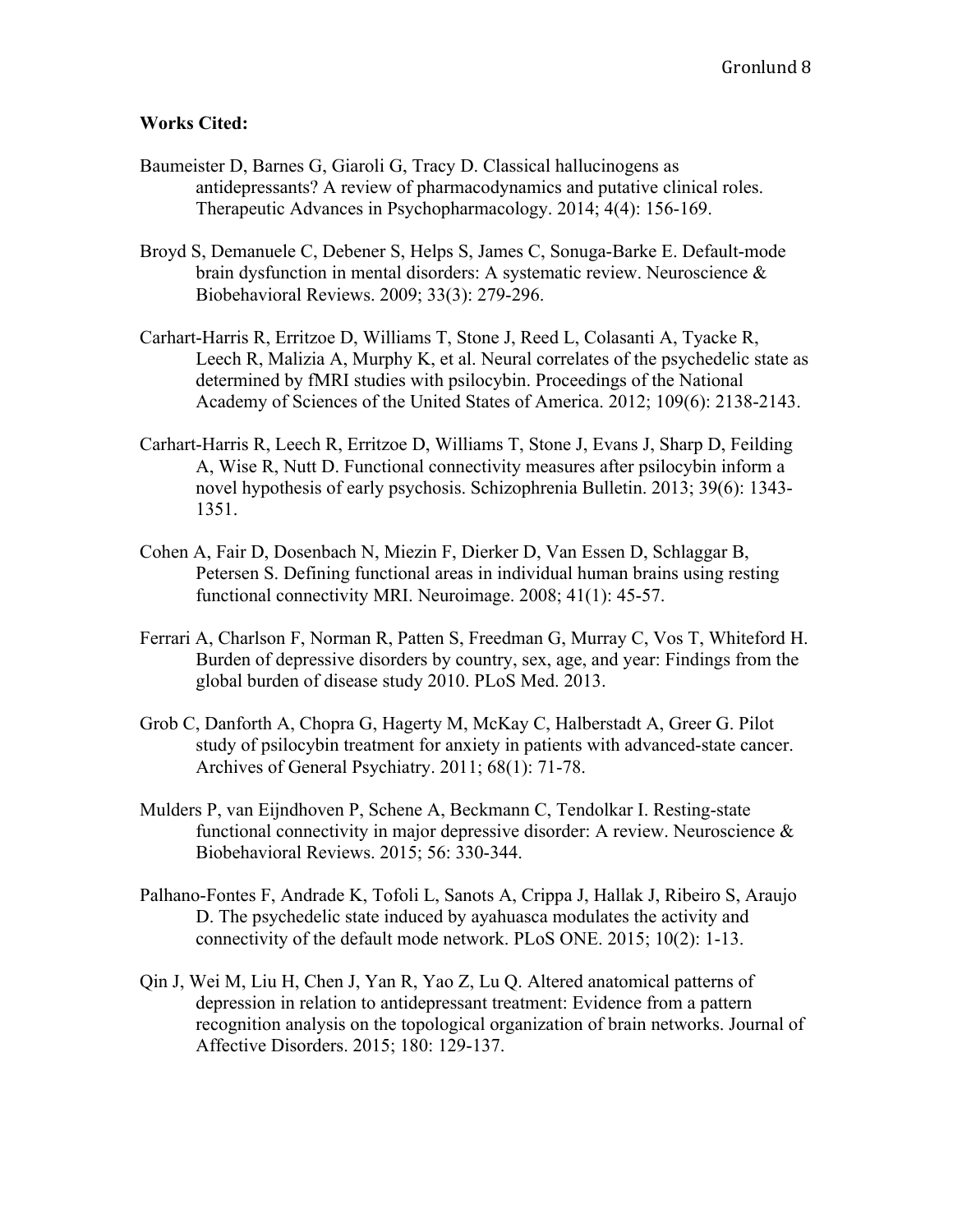## **Works Cited:**

- Baumeister D, Barnes G, Giaroli G, Tracy D. Classical hallucinogens as antidepressants? A review of pharmacodynamics and putative clinical roles. Therapeutic Advances in Psychopharmacology. 2014; 4(4): 156-169.
- Broyd S, Demanuele C, Debener S, Helps S, James C, Sonuga-Barke E. Default-mode brain dysfunction in mental disorders: A systematic review. Neuroscience & Biobehavioral Reviews. 2009; 33(3): 279-296.
- Carhart-Harris R, Erritzoe D, Williams T, Stone J, Reed L, Colasanti A, Tyacke R, Leech R, Malizia A, Murphy K, et al. Neural correlates of the psychedelic state as determined by fMRI studies with psilocybin. Proceedings of the National Academy of Sciences of the United States of America. 2012; 109(6): 2138-2143.
- Carhart-Harris R, Leech R, Erritzoe D, Williams T, Stone J, Evans J, Sharp D, Feilding A, Wise R, Nutt D. Functional connectivity measures after psilocybin inform a novel hypothesis of early psychosis. Schizophrenia Bulletin. 2013; 39(6): 1343- 1351.
- Cohen A, Fair D, Dosenbach N, Miezin F, Dierker D, Van Essen D, Schlaggar B, Petersen S. Defining functional areas in individual human brains using resting functional connectivity MRI. Neuroimage. 2008; 41(1): 45-57.
- Ferrari A, Charlson F, Norman R, Patten S, Freedman G, Murray C, Vos T, Whiteford H. Burden of depressive disorders by country, sex, age, and year: Findings from the global burden of disease study 2010. PLoS Med. 2013.
- Grob C, Danforth A, Chopra G, Hagerty M, McKay C, Halberstadt A, Greer G. Pilot study of psilocybin treatment for anxiety in patients with advanced-state cancer. Archives of General Psychiatry. 2011; 68(1): 71-78.
- Mulders P, van Eijndhoven P, Schene A, Beckmann C, Tendolkar I. Resting-state functional connectivity in major depressive disorder: A review. Neuroscience & Biobehavioral Reviews. 2015; 56: 330-344.
- Palhano-Fontes F, Andrade K, Tofoli L, Sanots A, Crippa J, Hallak J, Ribeiro S, Araujo D. The psychedelic state induced by ayahuasca modulates the activity and connectivity of the default mode network. PLoS ONE. 2015; 10(2): 1-13.
- Qin J, Wei M, Liu H, Chen J, Yan R, Yao Z, Lu Q. Altered anatomical patterns of depression in relation to antidepressant treatment: Evidence from a pattern recognition analysis on the topological organization of brain networks. Journal of Affective Disorders. 2015; 180: 129-137.